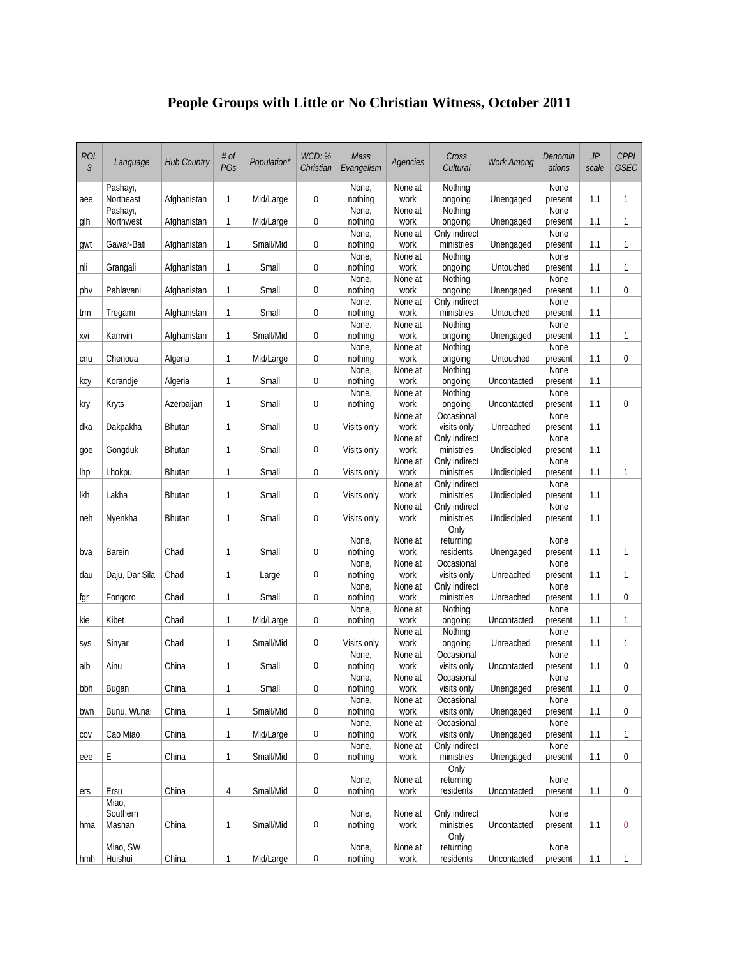## **People Groups with Little or No Christian Witness, October 2011**

| <b>ROL</b><br>$\mathfrak{Z}$ | Language              | <b>Hub Country</b> | # of<br>PGs    | Population* | WCD: %<br>Christian | Mass<br>Evangelism | Agencies        | Cross<br>Cultural            | <b>Work Among</b> | Denomin<br>ations | JP<br>scale | <b>CPPI</b><br><b>GSEC</b> |
|------------------------------|-----------------------|--------------------|----------------|-------------|---------------------|--------------------|-----------------|------------------------------|-------------------|-------------------|-------------|----------------------------|
| aee                          | Pashayi,<br>Northeast | Afghanistan        | $\mathbf{1}$   | Mid/Large   | $\boldsymbol{0}$    | None,<br>nothing   | None at<br>work | Nothing<br>ongoing           | Unengaged         | None<br>present   | 1.1         | 1                          |
| glh                          | Pashayi,<br>Northwest | Afghanistan        | $\mathbf{1}$   | Mid/Large   | $\mathbf{0}$        | None,<br>nothing   | None at<br>work | Nothing<br>ongoing           | Unengaged         | None<br>present   | 1.1         | 1                          |
| gwt                          | Gawar-Bati            | Afghanistan        | $\mathbf{1}$   | Small/Mid   | $\boldsymbol{0}$    | None,<br>nothing   | None at<br>work | Only indirect<br>ministries  | Unengaged         | None<br>present   | 1.1         | 1                          |
|                              |                       |                    |                |             |                     | None,              | None at         | Nothing                      |                   | None              |             |                            |
| nli                          | Grangali              | Afghanistan        | 1              | Small       | $\mathbf{0}$        | nothing<br>None,   | work<br>None at | ongoing<br>Nothing           | Untouched         | present<br>None   | 1.1         | 1                          |
| phy                          | Pahlavani             | Afghanistan        | $\mathbf{1}$   | Small       | $\boldsymbol{0}$    | nothing<br>None,   | work<br>None at | ongoing<br>Only indirect     | Unengaged         | present<br>None   | 1.1         | 0                          |
| trm                          | Tregami               | Afghanistan        | $\mathbf{1}$   | Small       | $\boldsymbol{0}$    | nothing            | work            | ministries                   | Untouched         | present           | 1.1         |                            |
| xvi                          | Kamviri               | Afghanistan        | $\mathbf{1}$   | Small/Mid   | $\mathbf{0}$        | None,<br>nothing   | None at<br>work | Nothing<br>ongoing           | Unengaged         | None<br>present   | 1.1         | 1                          |
|                              |                       |                    |                |             |                     | None,              | None at         | Nothing                      |                   | None              |             |                            |
| cnu                          | Chenoua               | Algeria            | 1              | Mid/Large   | $\mathbf{0}$        | nothing<br>None,   | work            | ongoing                      | Untouched         | present<br>None   | 1.1         | 0                          |
| kcy                          | Korandje              | Algeria            | $\mathbf{1}$   | Small       | $\boldsymbol{0}$    | nothing            | None at<br>work | Nothing<br>ongoing           | Uncontacted       | present           | 1.1         |                            |
| kry                          | Kryts                 | Azerbaijan         | $\mathbf{1}$   | Small       | $\boldsymbol{0}$    | None,<br>nothing   | None at<br>work | Nothing<br>ongoing           | Uncontacted       | None<br>present   | 1.1         | $\overline{0}$             |
| dka                          | Dakpakha              | <b>Bhutan</b>      | 1              | Small       | $\mathbf{0}$        | Visits only        | None at<br>work | Occasional<br>visits only    | Unreached         | None<br>present   | 1.1         |                            |
|                              |                       |                    |                |             |                     |                    | None at         | Only indirect                |                   | None              |             |                            |
| goe                          | Gongduk               | <b>Bhutan</b>      | $\mathbf{1}$   | Small       | $\mathbf{0}$        | Visits only        | work            | ministries                   | Undiscipled       | present           | 1.1         |                            |
| <b>lhp</b>                   | Lhokpu                | <b>Bhutan</b>      | 1              | Small       | $\mathbf{0}$        | Visits only        | None at<br>work | Only indirect<br>ministries  | Undiscipled       | None<br>present   | 1.1         | 1                          |
| lkh                          | Lakha                 | Bhutan             | 1              | Small       | $\mathbf{0}$        | Visits only        | None at<br>work | Only indirect<br>ministries  | Undiscipled       | None<br>present   | 1.1         |                            |
|                              |                       |                    |                |             |                     |                    | None at         | Only indirect                |                   | None              |             |                            |
| neh                          | Nyenkha               | <b>Bhutan</b>      | 1              | Small       | $\mathbf{0}$        | Visits only        | work            | ministries                   | Undiscipled       | present           | 1.1         |                            |
|                              |                       |                    |                |             |                     | None,              | None at         | Only<br>returning            |                   | None              |             |                            |
| bva                          | <b>Barein</b>         | Chad               | 1              | Small       | $\boldsymbol{0}$    | nothing            | work            | residents                    | Unengaged         | present           | 1.1         | 1                          |
|                              |                       |                    |                |             |                     | None,              | None at         | Occasional                   |                   | None              |             |                            |
| dau                          | Daju, Dar Sila        | Chad               | 1              | Large       | $\mathbf{0}$        | nothing<br>None,   | work<br>None at | visits only<br>Only indirect | Unreached         | present<br>None   | 1.1         | 1                          |
| fgr                          | Fongoro               | Chad               | $\mathbf{1}$   | Small       | $\mathbf{0}$        | nothing            | work            | ministries                   | Unreached         | present           | 1.1         | 0                          |
|                              | Kibet                 | Chad               |                | Mid/Large   |                     | None,              | None at         | Nothing                      |                   | None              |             |                            |
| kie                          |                       |                    | 1              |             | $\mathbf{0}$        | nothing            | work<br>None at | ongoing<br>Nothing           | Uncontacted       | present<br>None   | 1.1         | 1                          |
| sys                          | Sinyar                | Chad               | $\mathbf{1}$   | Small/Mid   | $\boldsymbol{0}$    | Visits only        | work            | ongoing                      | Unreached         | present           | 1.1         | 1                          |
|                              |                       |                    |                |             |                     | None,              | None at         | Occasional                   |                   | None              |             |                            |
| aib                          | Ainu                  | China              | 1              | Small       | $\boldsymbol{0}$    | nothing<br>None,   | work<br>None at | visits only<br>Occasional    | Uncontacted       | present<br>None   | 1.1         | 0                          |
| bbh                          | Bugan                 | China              | $\mathbf{1}$   | Small       | $\boldsymbol{0}$    | nothing            | work            | visits only                  | Unengaged         | present           | 1.1         | 0                          |
|                              | Bunu, Wunai           | China              | $\mathbf{1}$   | Small/Mid   | $\boldsymbol{0}$    | None,<br>nothing   | None at<br>work | Occasional<br>visits only    |                   | None              | 1.1         | 0                          |
| bwn                          |                       |                    |                |             |                     | None,              | None at         | Occasional                   | Unengaged         | present<br>None   |             |                            |
| COV                          | Cao Miao              | China              | $\mathbf{1}$   | Mid/Large   | $\boldsymbol{0}$    | nothing            | work            | visits only                  | Unengaged         | present           | 1.1         | 1                          |
|                              |                       |                    |                |             |                     | None,<br>nothing   | None at         | Only indirect                |                   | None              |             |                            |
| eee                          | Ε                     | China              | $\mathbf{1}$   | Small/Mid   | $\boldsymbol{0}$    |                    | work            | ministries<br>Only           | Unengaged         | present           | 1.1         | 0                          |
|                              |                       |                    |                |             |                     | None,              | None at         | returning                    |                   | None              |             |                            |
| ers                          | Ersu<br>Miao,         | China              | $\overline{4}$ | Small/Mid   | $\boldsymbol{0}$    | nothing            | work            | residents                    | Uncontacted       | present           | 1.1         | $\pmb{0}$                  |
|                              | Southern              |                    |                |             |                     | None,              | None at         | Only indirect                |                   | None              |             |                            |
| hma                          | Mashan                | China              | $\mathbf{1}$   | Small/Mid   | $\boldsymbol{0}$    | nothing            | work            | ministries                   | Uncontacted       | present           | 1.1         | $\pmb{0}$                  |
|                              | Miao, SW              |                    |                |             |                     | None,              | None at         | Only<br>returning            |                   | None              |             |                            |
| hmh                          | Huishui               | China              | $\mathbf{1}$   | Mid/Large   | $\boldsymbol{0}$    | nothing            | work            | residents                    | Uncontacted       | present           | 1.1         | $\mathbf{1}$               |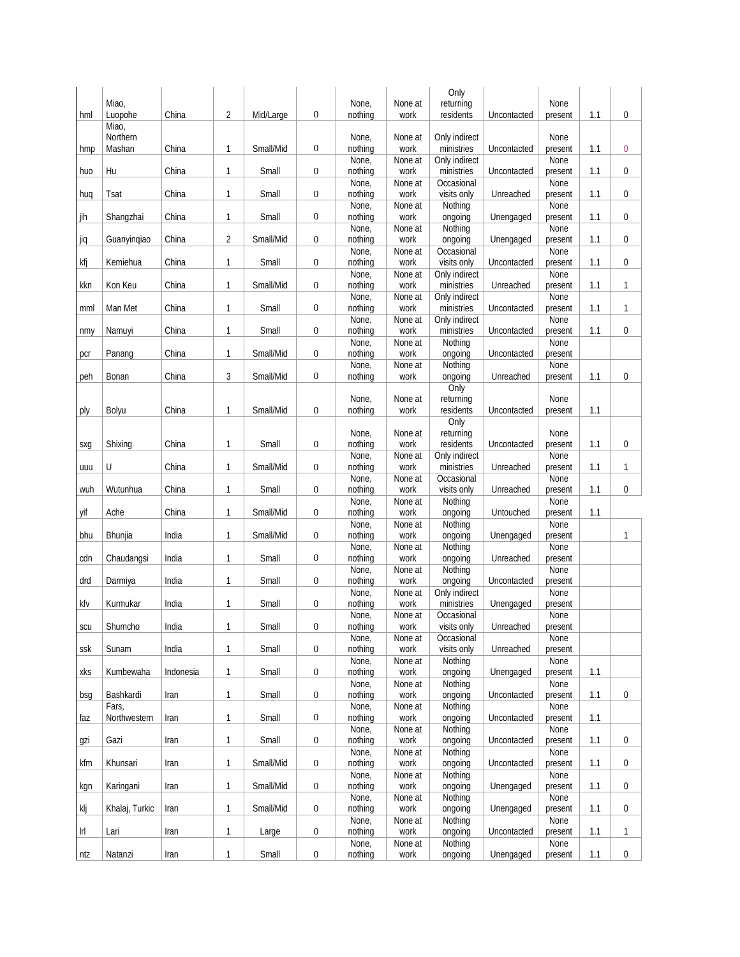|     |                    |           |                |           |                  |                  |                 | Only                        |             |                 |     |   |
|-----|--------------------|-----------|----------------|-----------|------------------|------------------|-----------------|-----------------------------|-------------|-----------------|-----|---|
|     | Miao,              |           |                |           |                  | None,            | None at         | returning                   |             | None            |     |   |
| hml | Luopohe            | China     | $\overline{2}$ | Mid/Large | $\boldsymbol{0}$ | nothing          | work            | residents                   | Uncontacted | present         | 1.1 | 0 |
|     | Miao,              |           |                |           |                  |                  |                 |                             |             |                 |     |   |
|     | Northern<br>Mashan | China     | $\mathbf{1}$   | Small/Mid | $\boldsymbol{0}$ | None,<br>nothing | None at         | Only indirect<br>ministries | Uncontacted | None            |     |   |
| hmp |                    |           |                |           |                  | None,            | work<br>None at | Only indirect               |             | present<br>None | 1.1 | 0 |
| huo | Hu                 | China     | 1              | Small     | $\boldsymbol{0}$ | nothing          | work            | ministries                  | Uncontacted | present         | 1.1 | 0 |
|     |                    |           |                |           |                  | None,            | None at         | Occasional                  |             | None            |     |   |
| huq | Tsat               | China     | $\mathbf{1}$   | Small     | $\boldsymbol{0}$ | nothing          | work            | visits only                 | Unreached   | present         | 1.1 | 0 |
|     |                    |           |                |           |                  | None,            | None at         | Nothing                     |             | None            |     |   |
| jih | Shangzhai          | China     | $\mathbf{1}$   | Small     | $\boldsymbol{0}$ | nothing          | work            | ongoing                     | Unengaged   | present         | 1.1 | 0 |
|     |                    |           |                |           |                  | None,            | None at         | Nothing                     |             | None            |     |   |
| jiq | Guanyingiao        | China     | $\overline{2}$ | Small/Mid | $\boldsymbol{0}$ | nothing          | work            | ongoing                     | Unengaged   | present         | 1.1 | 0 |
|     |                    |           |                |           |                  | None,            | None at         | Occasional                  |             | None            |     |   |
| kfj | Kemiehua           | China     | 1              | Small     | $\boldsymbol{0}$ | nothing          | work            | visits only                 | Uncontacted | present         | 1.1 | 0 |
|     |                    |           |                |           |                  | None,            | None at         | Only indirect               |             | None            |     |   |
| kkn | Kon Keu            | China     | 1              | Small/Mid | $\boldsymbol{0}$ | nothing          | work            | ministries                  | Unreached   | present         | 1.1 | 1 |
|     |                    |           |                |           |                  | None,            | None at         | Only indirect               |             | None            |     |   |
| mml | Man Met            | China     | 1              | Small     | $\boldsymbol{0}$ | nothing          | work            | ministries                  | Uncontacted | present         | 1.1 | 1 |
|     |                    |           |                |           |                  | None,            | None at         | Only indirect               |             | None            |     |   |
| nmy | Namuyi             | China     | 1              | Small     | $\boldsymbol{0}$ | nothing          | work            | ministries                  | Uncontacted | present         | 1.1 | 0 |
|     |                    |           |                |           |                  | None,            | None at         | Nothing                     |             | None            |     |   |
| pcr | Panang             | China     | $\mathbf{1}$   | Small/Mid | $\boldsymbol{0}$ | nothing          | work            | ongoing                     | Uncontacted | present         |     |   |
| peh | Bonan              | China     | 3              | Small/Mid | $\boldsymbol{0}$ | None,<br>nothing | None at<br>work | Nothing<br>ongoing          | Unreached   | None<br>present | 1.1 | 0 |
|     |                    |           |                |           |                  |                  |                 | Only                        |             |                 |     |   |
|     |                    |           |                |           |                  | None,            | None at         | returning                   |             | None            |     |   |
| ply | Bolyu              | China     | 1              | Small/Mid | $\boldsymbol{0}$ | nothing          | work            | residents                   | Uncontacted | present         | 1.1 |   |
|     |                    |           |                |           |                  |                  |                 | $\overline{Only}$           |             |                 |     |   |
|     |                    |           |                |           |                  | None,            | None at         | returning                   |             | None            |     |   |
| sxg | Shixing            | China     | $\mathbf{1}$   | Small     | $\boldsymbol{0}$ | nothing          | work            | residents                   | Uncontacted | present         | 1.1 | 0 |
|     |                    |           |                |           |                  | None,            | None at         | Only indirect               |             | None            |     |   |
| uuu | U                  | China     | 1              | Small/Mid | $\boldsymbol{0}$ | nothing          | work            | ministries                  | Unreached   | present         | 1.1 | 1 |
|     |                    |           |                |           |                  | None,            | None at         | Occasional                  |             | None            |     |   |
| wuh | Wutunhua           | China     | 1              | Small     | $\boldsymbol{0}$ | nothing          | work            | visits only                 | Unreached   | present         | 1.1 | 0 |
|     |                    |           |                |           |                  | None,            | None at         | Nothing                     |             | None            |     |   |
| yif | Ache               | China     | $\mathbf{1}$   | Small/Mid | $\boldsymbol{0}$ | nothing          | work            | ongoing                     | Untouched   | present         | 1.1 |   |
|     |                    |           |                |           |                  | None,            | None at         | Nothing                     |             | None            |     |   |
| bhu | Bhunjia            | India     | $\mathbf{1}$   | Small/Mid | $\boldsymbol{0}$ | nothing          | work            | ongoing                     | Unengaged   | present         |     | 1 |
|     |                    |           |                |           |                  | None,            | None at         | Nothing                     |             | None            |     |   |
| cdn | Chaudangsi         | India     | 1              | Small     | $\boldsymbol{0}$ | nothing          | work            | ongoing                     | Unreached   | present<br>None |     |   |
| drd | Darmiya            | India     | 1              | Small     | $\boldsymbol{0}$ | None,<br>nothing | None at<br>work | Nothing<br>ongoing          | Uncontacted | present         |     |   |
|     |                    |           |                |           |                  | None,            | None at         | Only indirect               |             | None            |     |   |
| kfv | Kurmukar           | India     | 1              | Small     | $\boldsymbol{0}$ | nothing          | work            | ministries                  | Unengaged   | present         |     |   |
|     |                    |           |                |           |                  | None,            | None at         | Occasional                  |             | None            |     |   |
| scu | Shumcho            | India     | 1              | Small     | $\boldsymbol{0}$ | nothing          | work            | visits only                 | Unreached   | present         |     |   |
|     |                    |           |                |           |                  | None,            | None at         | Occasional                  |             | None            |     |   |
| ssk | Sunam              | India     | 1              | Small     | $\mathbf{0}$     | nothing          | work            | visits only                 | Unreached   | present         |     |   |
|     |                    |           |                |           |                  | None,            | None at         | Nothing                     |             | None            |     |   |
| xks | Kumbewaha          | Indonesia | $\mathbf{1}$   | Small     | $\boldsymbol{0}$ | nothing          | work            | ongoing                     | Unengaged   | present         | 1.1 |   |
|     |                    |           |                |           |                  | None,            | None at         | Nothing                     |             | None            |     |   |
| bsg | Bashkardi          | Iran      | $\mathbf{1}$   | Small     | $\boldsymbol{0}$ | nothing          | work            | ongoing                     | Uncontacted | present         | 1.1 | 0 |
|     | Fars,              |           |                |           |                  | None,            | None at         | Nothing                     |             | None            |     |   |
| faz | Northwestern       | Iran      | $\mathbf{1}$   | Small     | $\boldsymbol{0}$ | nothing          | work            | ongoing                     | Uncontacted | present         | 1.1 |   |
|     |                    |           |                |           |                  | None,            | None at         | Nothing                     |             | None            |     |   |
| gzi | Gazi               | Iran      | $\mathbf{1}$   | Small     | $\boldsymbol{0}$ | nothing<br>None, | work<br>None at | ongoing<br>Nothing          | Uncontacted | present<br>None | 1.1 | 0 |
| kfm | Khunsari           |           | $\mathbf{1}$   | Small/Mid | $\boldsymbol{0}$ | nothing          | work            |                             | Uncontacted |                 | 1.1 |   |
|     |                    | Iran      |                |           |                  | None,            | None at         | ongoing<br>Nothing          |             | present<br>None |     | 0 |
| kgn | Karingani          | Iran      | $\mathbf{1}$   | Small/Mid | $\boldsymbol{0}$ | nothing          | work            | ongoing                     | Unengaged   | present         | 1.1 | 0 |
|     |                    |           |                |           |                  | None,            | None at         | Nothing                     |             | None            |     |   |
| klj | Khalaj, Turkic     | Iran      | $\mathbf{1}$   | Small/Mid | $\boldsymbol{0}$ | nothing          | work            | ongoing                     | Unengaged   | present         | 1.1 | 0 |
|     |                    |           |                |           |                  | None,            | None at         | Nothing                     |             | None            |     |   |
| Irl | Lari               | Iran      | $\mathbf{1}$   | Large     | $\boldsymbol{0}$ | nothing          | work            | ongoing                     | Uncontacted | present         | 1.1 | 1 |
|     |                    |           |                |           |                  | None,            | None at         | Nothing                     |             | None            |     |   |
| ntz | Natanzi            | Iran      | $\mathbf{1}$   | Small     | $\boldsymbol{0}$ | nothing          | work            | ongoing                     | Unengaged   | present         | 1.1 | 0 |
|     |                    |           |                |           |                  |                  |                 |                             |             |                 |     |   |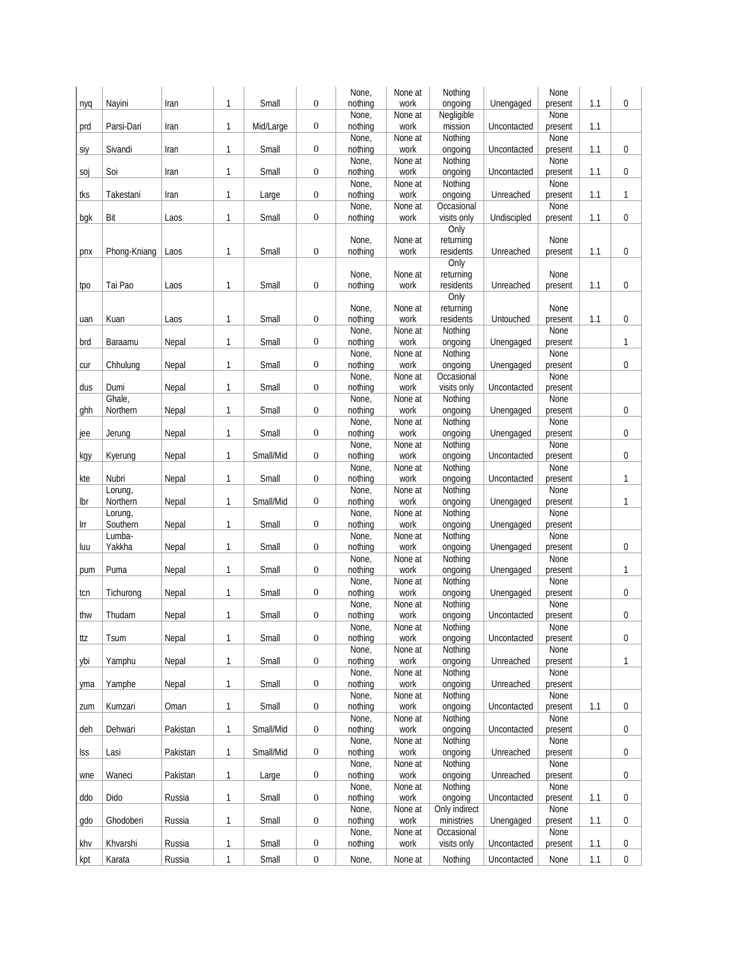|     |              |          |              |           |                  | None,            | None at         | Nothing            |             | None            |     |                |
|-----|--------------|----------|--------------|-----------|------------------|------------------|-----------------|--------------------|-------------|-----------------|-----|----------------|
| nyq | Nayini       | Iran     | 1            | Small     | $\mathbf{0}$     | nothing          | work            | ongoing            | Unengaged   | present         | 1.1 | 0              |
|     |              |          |              |           |                  | None,            | None at         | Negligible         |             | None            |     |                |
| prd | Parsi-Dari   | Iran     | 1            | Mid/Large | $\boldsymbol{0}$ | nothing          | work            | mission            | Uncontacted | present         | 1.1 |                |
|     |              |          |              |           |                  | None,            | None at         | Nothing            |             | None            |     |                |
| siy | Sivandi      | Iran     | $\mathbf{1}$ | Small     | $\mathbf{0}$     | nothing          | work            | ongoing            | Uncontacted | present         | 1.1 | 0              |
|     |              |          |              |           |                  | None,            | None at         | Nothing            |             | None            |     |                |
| soj | Soi          | Iran     | $\mathbf{1}$ | Small     | $\boldsymbol{0}$ | nothing          | work            | ongoing            | Uncontacted | present         | 1.1 | $\overline{0}$ |
|     |              |          |              |           |                  | None,            | None at         | Nothing            |             | None            |     |                |
| tks | Takestani    | Iran     | 1            | Large     | $\boldsymbol{0}$ | nothing          | work            | ongoing            | Unreached   | present         | 1.1 | 1              |
|     |              |          |              |           |                  | None,            | None at         | Occasional         |             | None            |     |                |
| bgk | Bit          | Laos     | $\mathbf{1}$ | Small     | $\boldsymbol{0}$ | nothing          | work            | visits only        | Undiscipled | present         | 1.1 | 0              |
|     |              |          |              |           |                  |                  |                 | Only               |             |                 |     |                |
|     |              |          | 1            |           |                  | None,            | None at         | returning          |             | None            |     | 0              |
| pnx | Phong-Kniang | Laos     |              | Small     | $\boldsymbol{0}$ | nothing          | work            | residents<br>Only  | Unreached   | present         | 1.1 |                |
|     |              |          |              |           |                  | None,            | None at         | returning          |             | None            |     |                |
| tpo | Tai Pao      | Laos     | 1            | Small     | $\boldsymbol{0}$ | nothing          | work            | residents          | Unreached   | present         | 1.1 | 0              |
|     |              |          |              |           |                  |                  |                 | Only               |             |                 |     |                |
|     |              |          |              |           |                  | None,            | None at         | returning          |             | None            |     |                |
| uan | Kuan         | Laos     | 1            | Small     | $\boldsymbol{0}$ | nothing          | work            | residents          | Untouched   | present         | 1.1 | 0              |
|     |              |          |              |           |                  | None,            | None at         | Nothing            |             | None            |     |                |
| brd | Baraamu      | Nepal    | 1            | Small     | $\boldsymbol{0}$ | nothing          | work            | ongoing            | Unengaged   | present         |     | 1              |
|     |              |          |              |           |                  | None,            | None at         | Nothing            |             | None            |     |                |
| cur | Chhulung     | Nepal    | $\mathbf{1}$ | Small     | $\boldsymbol{0}$ | nothing          | work            | ongoing            | Unengaged   | present         |     | 0              |
|     |              |          |              |           |                  | None,            | None at         | Occasional         |             | None            |     |                |
| dus | Dumi         | Nepal    | $\mathbf{1}$ | Small     | $\boldsymbol{0}$ | nothing          | work            | visits only        | Uncontacted | present         |     |                |
|     | Ghale,       |          |              |           |                  | None,            | None at         | Nothing            |             | None            |     |                |
| ghh | Northern     | Nepal    | $\mathbf{1}$ | Small     | $\boldsymbol{0}$ | nothing          | work            | ongoing            | Unengaged   | present         |     | 0              |
|     |              |          |              |           |                  | None,            | None at         | Nothing            |             | None            |     |                |
| jee | Jerung       | Nepal    | $\mathbf{1}$ | Small     | $\boldsymbol{0}$ | nothing          | work            | ongoing            | Unengaged   | present         |     | 0              |
|     |              |          |              |           |                  | None,            | None at         | Nothing            |             | None            |     |                |
| kgy | Kyerung      | Nepal    | $\mathbf{1}$ | Small/Mid | $\boldsymbol{0}$ | nothing          | work            | ongoing            | Uncontacted | present         |     | 0              |
|     |              |          |              |           |                  | None,            | None at         | Nothing            |             | None            |     |                |
| kte | Nubri        | Nepal    | $\mathbf{1}$ | Small     | $\boldsymbol{0}$ | nothing          | work            | ongoing            | Uncontacted | present         |     | 1              |
|     | Lorung,      |          |              |           |                  | None,            | None at         | Nothing            |             | None            |     |                |
| lbr | Northern     | Nepal    | $\mathbf{1}$ | Small/Mid | $\boldsymbol{0}$ | nothing          | work            | ongoing            | Unengaged   | present         |     | 1              |
|     | Lorung,      |          |              |           |                  | None,            | None at         | Nothing            |             | None            |     |                |
| Irr | Southern     | Nepal    | 1            | Small     | $\boldsymbol{0}$ | nothing          | work            | ongoing            | Unengaged   | present         |     |                |
|     | Lumba-       |          |              |           |                  | None,            | None at         | Nothing            |             | None            |     |                |
| luu | Yakkha       | Nepal    | $\mathbf{1}$ | Small     | $\boldsymbol{0}$ | nothing          | work            | ongoing            | Unengaged   | present         |     | 0              |
|     |              |          |              |           |                  | None,            | None at         | Nothing            |             | None            |     |                |
| pum | Puma         | Nepal    | $\mathbf{1}$ | Small     | $\boldsymbol{0}$ | nothing          | work            | ongoing            | Unengaged   | present         |     | $\mathbf{1}$   |
|     |              |          |              |           |                  | None,            | None at         | Nothing            |             | None            |     |                |
| tcn | Tichurong    | Nepal    | $\mathbf{1}$ | Small     | $\boldsymbol{0}$ | nothing          | work            | ongoing            | Unengaged   | present         |     | 0              |
|     |              |          |              |           |                  | None,            | None at         | Nothing            |             | None            |     |                |
| thw | Thudam       | Nepal    | 1            | Small     | $\boldsymbol{0}$ | nothing          | work            | ongoing            | Uncontacted | present         |     | 0              |
|     |              |          |              |           |                  | None,            | None at         | Nothing            |             | None            |     |                |
| ttz | Tsum         | Nepal    | $\mathbf{1}$ | Small     | $\boldsymbol{0}$ | nothing          | work            | ongoing            | Uncontacted | present         |     | 0              |
|     | Yamphu       |          |              | Small     | $\boldsymbol{0}$ | None,<br>nothing | None at<br>work | Nothing            | Unreached   | None            |     | 1              |
| ybi |              | Nepal    | 1            |           |                  | None,            | None at         | ongoing<br>Nothing |             | present<br>None |     |                |
|     | Yamphe       | Nepal    | $\mathbf{1}$ | Small     | $\boldsymbol{0}$ | nothing          | work            | ongoing            | Unreached   | present         |     |                |
| yma |              |          |              |           |                  | None,            | None at         | Nothing            |             | None            |     |                |
| zum | Kumzari      | Oman     | $\mathbf{1}$ | Small     | $\boldsymbol{0}$ | nothing          | work            | ongoing            | Uncontacted | present         | 1.1 | 0              |
|     |              |          |              |           |                  | None,            | None at         | Nothing            |             | None            |     |                |
| deh | Dehwari      | Pakistan | $\mathbf{1}$ | Small/Mid | $\boldsymbol{0}$ | nothing          | work            | ongoing            | Uncontacted | present         |     | 0              |
|     |              |          |              |           |                  | None,            | None at         | Nothing            |             | None            |     |                |
| lss | Lasi         | Pakistan | $\mathbf{1}$ | Small/Mid | $\boldsymbol{0}$ | nothing          | work            | ongoing            | Unreached   | present         |     | 0              |
|     |              |          |              |           |                  | None,            | None at         | Nothing            |             | <b>None</b>     |     |                |
| wne | Waneci       | Pakistan | $\mathbf{1}$ | Large     | $\boldsymbol{0}$ | nothing          | work            | ongoing            | Unreached   | present         |     | 0              |
|     |              |          |              |           |                  | None,            | None at         | Nothing            |             | None            |     |                |
| ddo | Dido         | Russia   | $\mathbf{1}$ | Small     | $\boldsymbol{0}$ | nothing          | work            | ongoing            | Uncontacted | present         | 1.1 | 0              |
|     |              |          |              |           |                  | None,            | None at         | Only indirect      |             | None            |     |                |
| gdo | Ghodoberi    | Russia   | $\mathbf{1}$ | Small     | $\boldsymbol{0}$ | nothing          | work            | ministries         | Unengaged   | present         | 1.1 | 0              |
|     |              |          |              |           |                  | None,            | None at         | Occasional         |             | None            |     |                |
| khv | Khvarshi     | Russia   | $\mathbf{1}$ | Small     | $\boldsymbol{0}$ | nothing          | work            | visits only        | Uncontacted | present         | 1.1 | 0              |
| kpt | Karata       | Russia   | $\mathbf{1}$ | Small     | $\boldsymbol{0}$ | None,            | None at         | Nothing            | Uncontacted | None            | 1.1 | $\pmb{0}$      |
|     |              |          |              |           |                  |                  |                 |                    |             |                 |     |                |